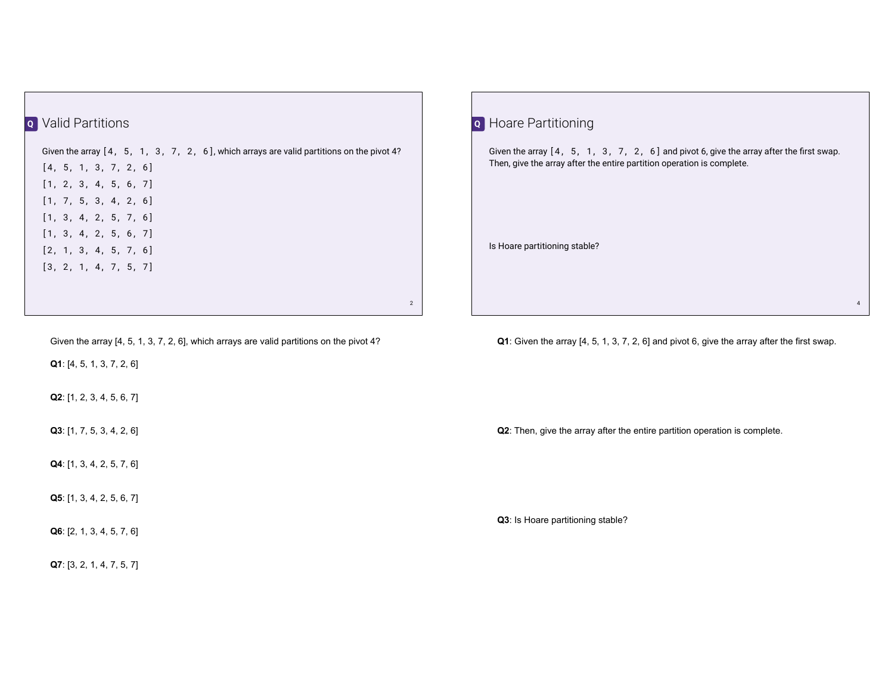## Valid Partitions **Q**

Given the array [4, 5, 1, 3, 7, 2, 6], which arrays are valid partitions on the pivot 4? [4, 5, 1, 3, 7, 2, 6] [1, 2, 3, 4, 5, 6, 7] [1, 7, 5, 3, 4, 2, 6] [1, 3, 4, 2, 5, 7, 6] [1, 3, 4, 2, 5, 6, 7] [2, 1, 3, 4, 5, 7, 6] [3, 2, 1, 4, 7, 5, 7]

Given the array [4, 5, 1, 3, 7, 2, 6], which arrays are valid partitions on the pivot 4?

**Q1**: [4, 5, 1, 3, 7, 2, 6]

**Q2**: [1, 2, 3, 4, 5, 6, 7]

**Q3**: [1, 7, 5, 3, 4, 2, 6]

**Q4**: [1, 3, 4, 2, 5, 7, 6]

**Q5**: [1, 3, 4, 2, 5, 6, 7]

**Q6**: [2, 1, 3, 4, 5, 7, 6]

**Q7**: [3, 2, 1, 4, 7, 5, 7]

| <b>Q</b> Hoare Partitioning                                                                                                                                         |   |
|---------------------------------------------------------------------------------------------------------------------------------------------------------------------|---|
| Given the array $[4, 5, 1, 3, 7, 2, 6]$ and pivot 6, give the array after the first swap.<br>Then, give the array after the entire partition operation is complete. |   |
|                                                                                                                                                                     |   |
| Is Hoare partitioning stable?                                                                                                                                       |   |
|                                                                                                                                                                     |   |
|                                                                                                                                                                     | 4 |

**Q1**: Given the array [4, 5, 1, 3, 7, 2, 6] and pivot 6, give the array after the first swap.

**Q2**: Then, give the array after the entire partition operation is complete.

**Q3**: Is Hoare partitioning stable?

2